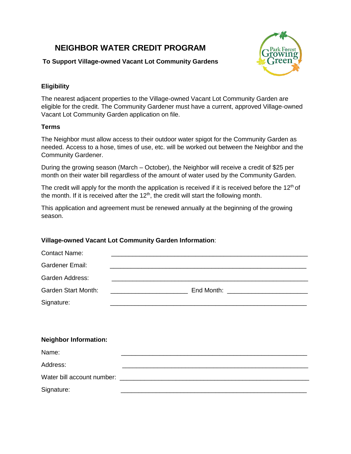# **NEIGHBOR WATER CREDIT PROGRAM**



### **To Support Village-owned Vacant Lot Community Gardens**

## **Eligibility**

The nearest adjacent properties to the Village-owned Vacant Lot Community Garden are eligible for the credit. The Community Gardener must have a current, approved Village-owned Vacant Lot Community Garden application on file.

## **Terms**

The Neighbor must allow access to their outdoor water spigot for the Community Garden as needed. Access to a hose, times of use, etc. will be worked out between the Neighbor and the Community Gardener.

During the growing season (March – October), the Neighbor will receive a credit of \$25 per month on their water bill regardless of the amount of water used by the Community Garden.

The credit will apply for the month the application is received if it is received before the 12<sup>th</sup> of the month. If it is received after the  $12<sup>th</sup>$ , the credit will start the following month.

This application and agreement must be renewed annually at the beginning of the growing season.

## **Village-owned Vacant Lot Community Garden Information**:

| <b>Contact Name:</b>         |  |
|------------------------------|--|
| Gardener Email:              |  |
| <b>Garden Address:</b>       |  |
| <b>Garden Start Month:</b>   |  |
| Signature:                   |  |
|                              |  |
|                              |  |
|                              |  |
| <b>Neighbor Information:</b> |  |
| Name:                        |  |
| Address:                     |  |
|                              |  |